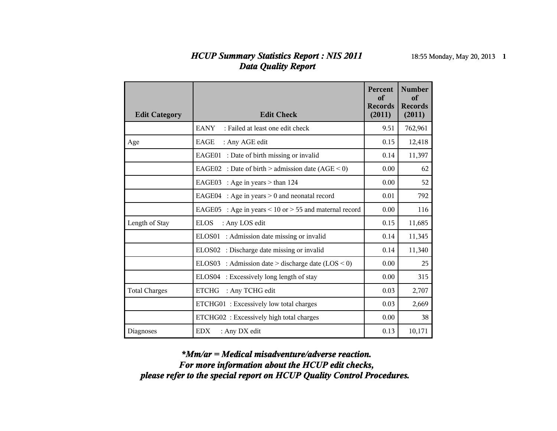## *HCUP Summary Statistics Report : NIS 2011* 18:55 Monday, May 20, 2013 **1** *Data Quality Report*

| <b>Edit Category</b> | <b>Edit Check</b>                                         | <b>Percent</b><br>of<br><b>Records</b><br>(2011) | <b>Number</b><br>of<br><b>Records</b><br>(2011) |
|----------------------|-----------------------------------------------------------|--------------------------------------------------|-------------------------------------------------|
|                      | <b>EANY</b><br>: Failed at least one edit check           | 9.51                                             | 762,961                                         |
| Age                  | EAGE<br>: Any AGE edit                                    | 0.15                                             | 12,418                                          |
|                      | EAGE01 : Date of birth missing or invalid                 | 0.14                                             | 11,397                                          |
|                      | EAGE02 : Date of birth > admission date $(AGE < 0)$       | 0.00                                             | 62                                              |
|                      | : Age in years $>$ than 124<br>EAGE03                     | 0.00                                             | 52                                              |
|                      | : Age in years $> 0$ and neonatal record<br>EAGE04        | 0.01                                             | 792                                             |
|                      | : Age in years < 10 or > 55 and maternal record<br>EAGE05 | 0.00                                             | 116                                             |
| Length of Stay       | <b>ELOS</b><br>: Any LOS edit                             | 0.15                                             | 11,685                                          |
|                      | ELOS01<br>: Admission date missing or invalid             | 0.14                                             | 11,345                                          |
|                      | ELOS02 : Discharge date missing or invalid                | 0.14                                             | 11,340                                          |
|                      | ELOS03 : Admission date > discharge date $(LOS < 0)$      | 0.00                                             | 25                                              |
|                      | ELOS04 : Excessively long length of stay                  | 0.00                                             | 315                                             |
| <b>Total Charges</b> | <b>ETCHG</b><br>: Any TCHG edit                           | 0.03                                             | 2,707                                           |
|                      | ETCHG01: Excessively low total charges                    | 0.03                                             | 2,669                                           |
|                      | ETCHG02: Excessively high total charges                   | 0.00                                             | 38                                              |
| Diagnoses            | <b>EDX</b><br>: Any DX edit                               | 0.13                                             | 10,171                                          |

*please refer to the special report on HCUP Quality Control Procedures. For more information about the HCUP edit checks, \*Mm/ar = Medical misadventure/adverse reaction.*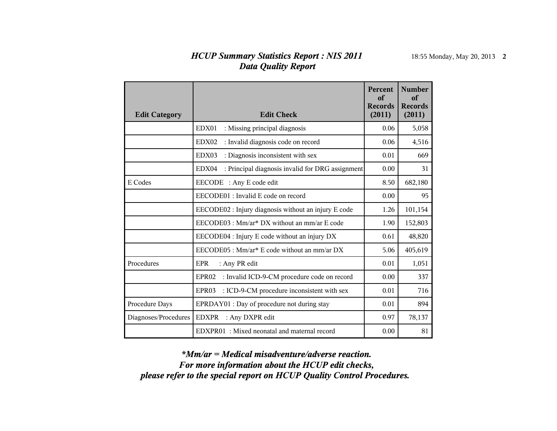## *HCUP Summary Statistics Report : NIS 2011* 18:55 Monday, May 20, 2013 **2** *Data Quality Report*

| <b>Edit Category</b> | <b>Edit Check</b>                                                | <b>Percent</b><br>of<br><b>Records</b><br>(2011) | <b>Number</b><br>of<br><b>Records</b><br>(2011) |
|----------------------|------------------------------------------------------------------|--------------------------------------------------|-------------------------------------------------|
|                      | EDX01<br>: Missing principal diagnosis                           | 0.06                                             | 5,058                                           |
|                      | : Invalid diagnosis code on record<br>EDX02                      | 0.06                                             | 4,516                                           |
|                      | : Diagnosis inconsistent with sex<br>EDX03                       | 0.01                                             | 669                                             |
|                      | : Principal diagnosis invalid for DRG assignment<br>EDX04        | 0.00                                             | 31                                              |
| E Codes              | EECODE : Any E code edit                                         | 8.50                                             | 682,180                                         |
|                      | EECODE01 : Invalid E code on record                              | 0.00                                             | 95                                              |
|                      | EECODE02 : Injury diagnosis without an injury E code             | 1.26                                             | 101,154                                         |
|                      | EECODE03 : Mm/ar* DX without an mm/ar E code                     | 1.90                                             | 152,803                                         |
|                      | EECODE04 : Injury E code without an injury DX                    | 0.61                                             | 48,820                                          |
|                      | EECODE05 : Mm/ar <sup>*</sup> E code without an mm/ar DX         | 5.06                                             | 405,619                                         |
| Procedures           | <b>EPR</b><br>: Any PR edit                                      | 0.01                                             | 1,051                                           |
|                      | : Invalid ICD-9-CM procedure code on record<br>EPR <sub>02</sub> | 0.00                                             | 337                                             |
|                      | : ICD-9-CM procedure inconsistent with sex<br>EPR <sub>03</sub>  | 0.01                                             | 716                                             |
| Procedure Days       | EPRDAY01 : Day of procedure not during stay                      | 0.01                                             | 894                                             |
| Diagnoses/Procedures | : Any DXPR edit<br>EDXPR                                         | 0.97                                             | 78,137                                          |
|                      | EDXPR01: Mixed neonatal and maternal record                      | 0.00                                             | 81                                              |

*please refer to the special report on HCUP Quality Control Procedures. For more information about the HCUP edit checks, \*Mm/ar = Medical misadventure/adverse reaction.*